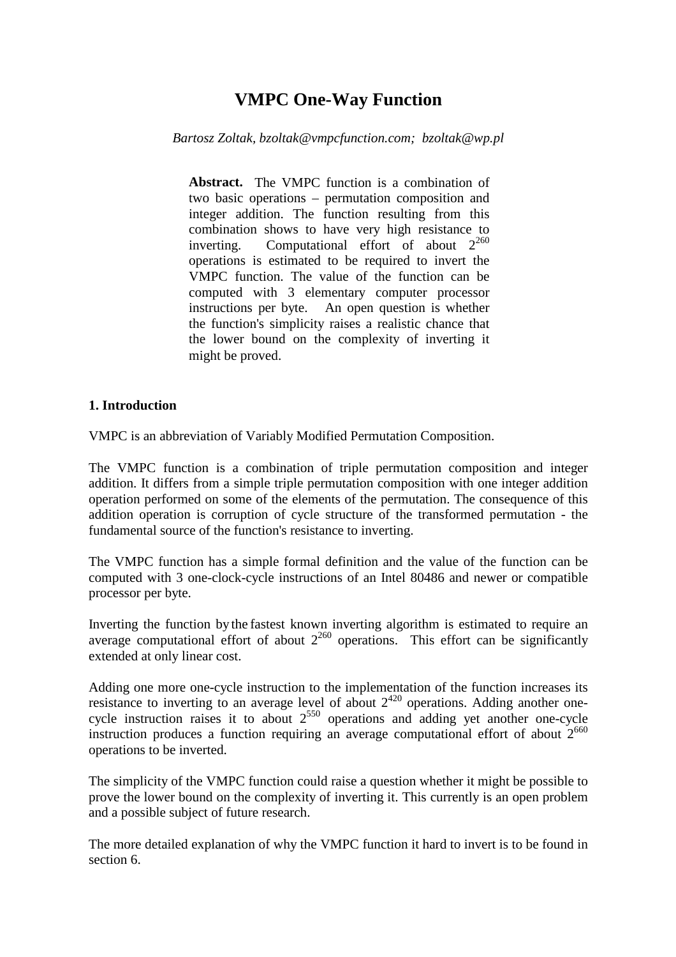# **VMPC One-Way Function**

*Bartosz Zoltak, bzoltak@vmpcfunction.com; bzoltak@wp.pl* 

Abstract. The VMPC function is a combination of two basic operations – permutation composition and integer addition. The function resulting from this combination shows to have very high resistance to inverting. Computational effort of about  $2^{260}$ operations is estimated to be required to invert the VMPC function. The value of the function can be computed with 3 elementary computer processor instructions per byte. An open question is whether the function's simplicity raises a realistic chance that the lower bound on the complexity of inverting it might be proved.

### **1. Introduction**

VMPC is an abbreviation of Variably Modified Permutation Composition.

The VMPC function is a combination of triple permutation composition and integer addition. It differs from a simple triple permutation composition with one integer addition operation performed on some of the elements of the permutation. The consequence of this addition operation is corruption of cycle structure of the transformed permutation - the fundamental source of the function's resistance to inverting.

The VMPC function has a simple formal definition and the value of the function can be computed with 3 one-clock-cycle instructions of an Intel 80486 and newer or compatible processor per byte.

Inverting the function by the fastest known inverting algorithm is estimated to require an average computational effort of about  $2^{260}$  operations. This effort can be significantly extended at only linear cost.

Adding one more one-cycle instruction to the implementation of the function increases its resistance to inverting to an average level of about  $2^{420}$  operations. Adding another onecycle instruction raises it to about  $2^{550}$  operations and adding yet another one-cycle instruction produces a function requiring an average computational effort of about  $2^{660}$ operations to be inverted.

The simplicity of the VMPC function could raise a question whether it might be possible to prove the lower bound on the complexity of inverting it. This currently is an open problem and a possible subject of future research.

The more detailed explanation of why the VMPC function it hard to invert is to be found in section 6.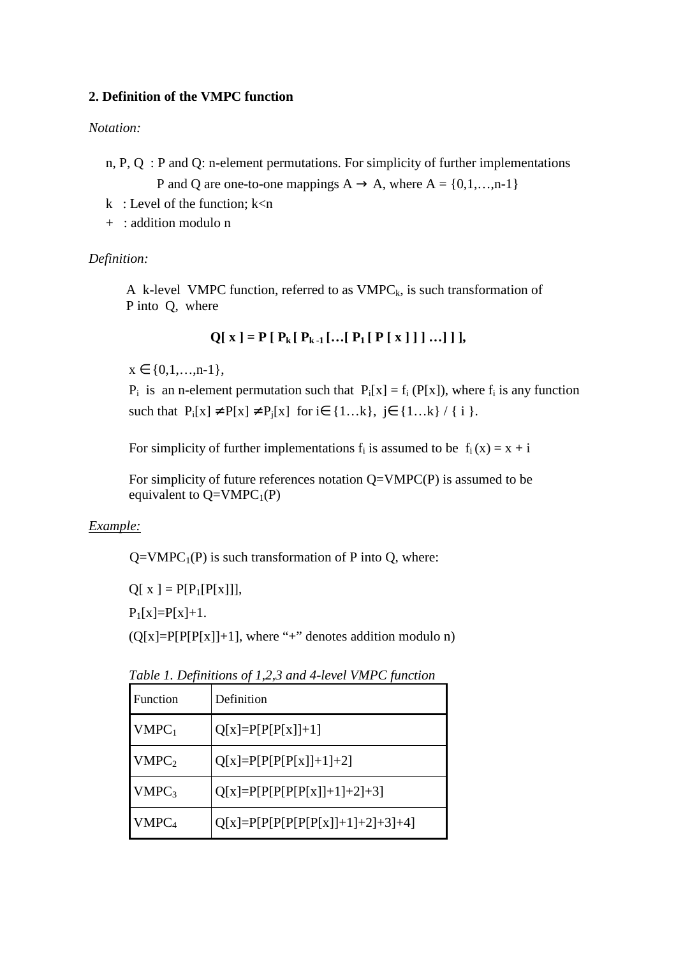## **2. Definition of the VMPC function**

## *Notation:*

 n, P, Q : P and Q: n-element permutations. For simplicity of further implementations P and Q are one-to-one mappings  $A \rightarrow A$ , where  $A = \{0,1,...,n-1\}$ 

- k : Level of the function;  $k < n$
- + : addition modulo n

## *Definition:*

A k-level VMPC function, referred to as  $VMPC_k$ , is such transformation of P into Q, where

 $Q[X] = P[P_k[P_{k-1}[\ldots[P_1[P[X]]]\ldots]]],$ 

 $x \in \{0,1,...,n-1\},\$ 

 $P_i$  is an n-element permutation such that  $P_i[x] = f_i(P[x])$ , where  $f_i$  is any function such that  $P_i[x] \neq P[x] \neq P_i[x]$  for i $\in \{1...k\}$ , j $\in \{1...k\}$  / { i }.

For simplicity of further implementations  $f_i$  is assumed to be  $f_i(x) = x + i$ 

For simplicity of future references notation  $Q=VMPC(P)$  is assumed to be equivalent to  $Q=VMPC_1(P)$ 

# *Example:*

 $Q=VMPC<sub>1</sub>(P)$  is such transformation of P into Q, where:

 $Q[x] = P[P_1[P[x]]],$ 

 $P_1[x]=P[x]+1.$ 

 $(Q[x]=P[P[P[x]]+1]$ , where "+" denotes addition modulo n)

| <b>Function</b>   | Definition                       |
|-------------------|----------------------------------|
| $VMPC_1$          | $Q[x]=P[P[P[x]]+1]$              |
| VMPC <sub>2</sub> | $Q[x] = P[P[P[P[x]] + 1] + 2]$   |
| VMPC <sub>3</sub> | $Q[x]=P[P[P[P[x]]+1]+2]+3]$      |
| VMPC <sub>4</sub> | $Q[x]=P[P[P[P[P[x]]+1]+2]+3]+4]$ |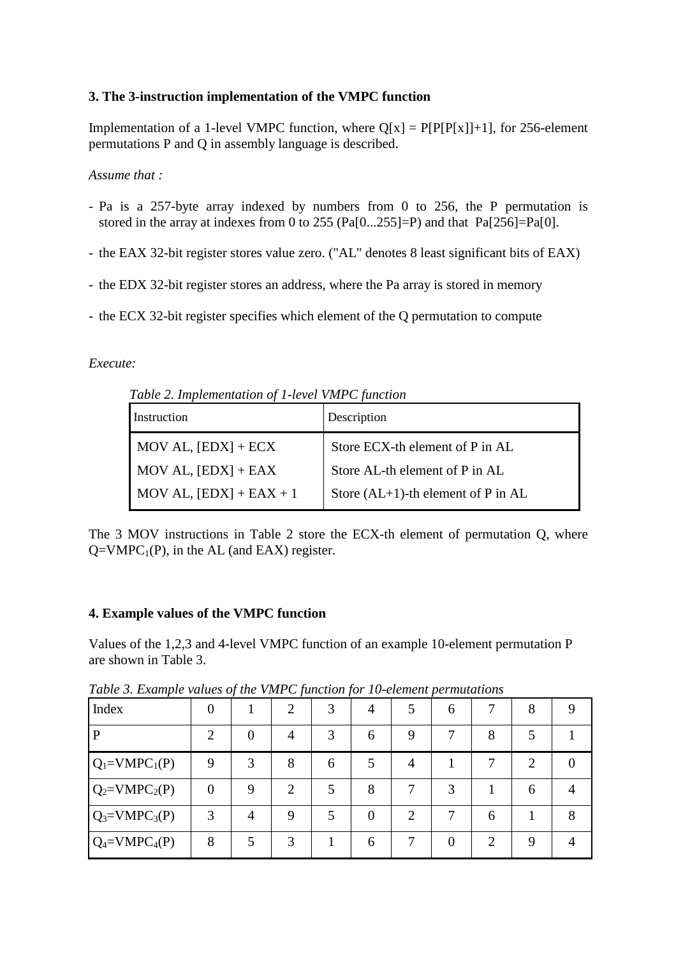## **3. The 3-instruction implementation of the VMPC function**

Implementation of a 1-level VMPC function, where  $Q[x] = P[P[P[x]]+1]$ , for 256-element permutations P and Q in assembly language is described.

## *Assume that :*

- Pa is a 257-byte array indexed by numbers from 0 to 256, the P permutation is stored in the array at indexes from 0 to 255 (Pa[0...255]=P) and that  $Pa[256]=Pa[0]$ .
- the EAX 32-bit register stores value zero. ("AL" denotes 8 least significant bits of EAX)
- the EDX 32-bit register stores an address, where the Pa array is stored in memory
- the ECX 32-bit register specifies which element of the Q permutation to compute

# *Execute:*

 *Table 2. Implementation of 1-level VMPC function* 

| Instruction                                | Description                             |
|--------------------------------------------|-----------------------------------------|
| $\text{MOV AL}, \text{[EDX]} + \text{ECX}$ | Store ECX-th element of P in AL         |
| $MOV AL, [EDX] + EAX$                      | Store AL-th element of P in AL          |
| MOV AL, $[EDX] + EAX + 1$                  | Store $(AL+1)$ -th element of P in $AL$ |

The 3 MOV instructions in Table 2 store the ECX-th element of permutation Q, where  $Q=VMPC_1(P)$ , in the AL (and EAX) register.

# **4. Example values of the VMPC function**

Values of the 1,2,3 and 4-level VMPC function of an example 10-element permutation P are shown in Table 3.

| Index             | 0           | $\cdot$ | $\boldsymbol{\mathcal{J}}$<br>$\overline{2}$ | $\boldsymbol{\cdot}$<br>3 | 4 |   | 6                 |   | 8                           |  |
|-------------------|-------------|---------|----------------------------------------------|---------------------------|---|---|-------------------|---|-----------------------------|--|
| $\mathbf{P}$      | ി           | 0       | 4                                            | 3                         | 6 | 9 |                   | 8 |                             |  |
| $Q_1 = VMPC_1(P)$ | $\mathbf Q$ | 3       | 8                                            | 6                         |   | 4 |                   |   | $\mathcal{D}_{\mathcal{L}}$ |  |
| $Q_2=VMPC_2(P)$   | $\theta$    | Q       | 2                                            |                           | 8 |   | 3                 |   | 6                           |  |
| $Q_3 = VMPC_3(P)$ | 3           | 4       | Q                                            |                           | 0 | 2 |                   | 6 |                             |  |
| $Q_4 = VMPC_4(P)$ | 8           |         |                                              |                           | 6 |   | $\mathbf{\Omega}$ | 2 | Q                           |  |

*Table 3. Example values of the VMPC function for 10-element permutations*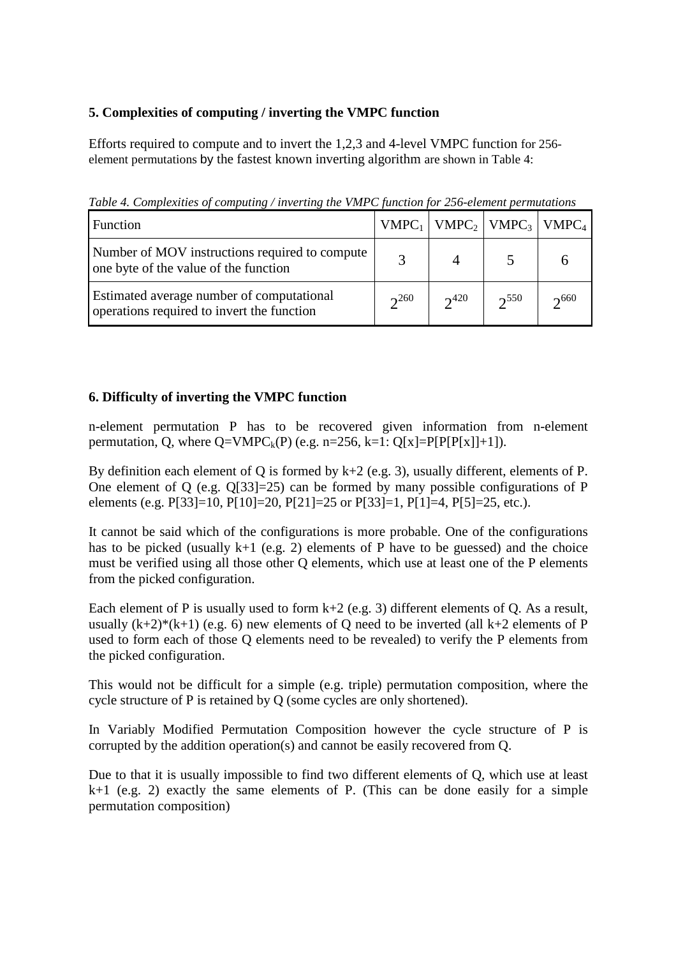# **5. Complexities of computing / inverting the VMPC function**

Efforts required to compute and to invert the 1,2,3 and 4-level VMPC function for 256 element permutations by the fastest known inverting algorithm are shown in Table 4:

*Table 4. Complexities of computing / inverting the VMPC function for 256-element permutations*

| Function                                                                                |           | $VMPC_1$   $VMPC_2$   $VMPC_3$   $VMPC_4$ |           |           |
|-----------------------------------------------------------------------------------------|-----------|-------------------------------------------|-----------|-----------|
| Number of MOV instructions required to compute<br>one byte of the value of the function |           |                                           |           |           |
| Estimated average number of computational<br>operations required to invert the function | $2^{260}$ | $2^{420}$                                 | $2^{550}$ | $2^{660}$ |

# **6. Difficulty of inverting the VMPC function**

n-element permutation P has to be recovered given information from n-element permutation, O, where  $Q=V\text{MPC}_k(P)$  (e.g. n=256, k=1:  $Q[x]=P[P[P[x]]+1]$ ).

By definition each element of Q is formed by  $k+2$  (e.g. 3), usually different, elements of P. One element of Q (e.g. Q[33]=25) can be formed by many possible configurations of P elements (e.g. P[33]=10, P[10]=20, P[21]=25 or P[33]=1, P[1]=4, P[5]=25, etc.).

It cannot be said which of the configurations is more probable. One of the configurations has to be picked (usually  $k+1$  (e.g. 2) elements of P have to be guessed) and the choice must be verified using all those other Q elements, which use at least one of the P elements from the picked configuration.

Each element of P is usually used to form  $k+2$  (e.g. 3) different elements of O. As a result, usually  $(k+2)*(k+1)$  (e.g. 6) new elements of Q need to be inverted (all  $k+2$  elements of P used to form each of those Q elements need to be revealed) to verify the P elements from the picked configuration.

This would not be difficult for a simple (e.g. triple) permutation composition, where the cycle structure of P is retained by Q (some cycles are only shortened).

In Variably Modified Permutation Composition however the cycle structure of P is corrupted by the addition operation(s) and cannot be easily recovered from Q.

Due to that it is usually impossible to find two different elements of Q, which use at least  $k+1$  (e.g. 2) exactly the same elements of P. (This can be done easily for a simple permutation composition)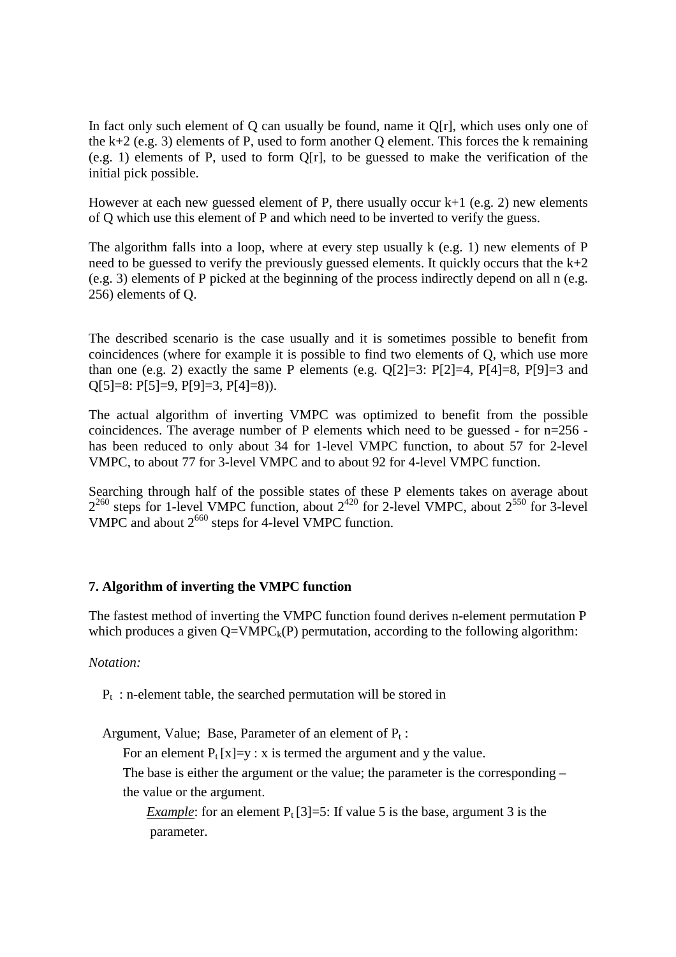In fact only such element of Q can usually be found, name it Q[r], which uses only one of the k+2 (e.g. 3) elements of P, used to form another Q element. This forces the k remaining (e.g. 1) elements of P, used to form Q[r], to be guessed to make the verification of the initial pick possible.

However at each new guessed element of P, there usually occur  $k+1$  (e.g. 2) new elements of Q which use this element of P and which need to be inverted to verify the guess.

The algorithm falls into a loop, where at every step usually k (e.g. 1) new elements of P need to be guessed to verify the previously guessed elements. It quickly occurs that the  $k+2$ (e.g. 3) elements of P picked at the beginning of the process indirectly depend on all n (e.g. 256) elements of Q.

The described scenario is the case usually and it is sometimes possible to benefit from coincidences (where for example it is possible to find two elements of Q, which use more than one (e.g. 2) exactly the same P elements (e.g.  $Q[2]=3$ :  $P[2]=4$ ,  $P[4]=8$ ,  $P[9]=3$  and Q[5]=8: P[5]=9, P[9]=3, P[4]=8)).

The actual algorithm of inverting VMPC was optimized to benefit from the possible coincidences. The average number of P elements which need to be guessed - for n=256 has been reduced to only about 34 for 1-level VMPC function, to about 57 for 2-level VMPC, to about 77 for 3-level VMPC and to about 92 for 4-level VMPC function.

Searching through half of the possible states of these P elements takes on average about  $2^{260}$  steps for 1-level VMPC function, about  $2^{420}$  for 2-level VMPC, about  $2^{550}$  for 3-level VMPC and about  $2^{660}$  steps for 4-level VMPC function.

### **7. Algorithm of inverting the VMPC function**

The fastest method of inverting the VMPC function found derives n-element permutation P which produces a given  $Q=VMPC_k(P)$  permutation, according to the following algorithm:

*Notation:* 

 $P_t$ : n-element table, the searched permutation will be stored in

Argument, Value; Base, Parameter of an element of  $P_t$ :

For an element  $P_t[x]=y : x$  is termed the argument and y the value.

 The base is either the argument or the value; the parameter is the corresponding – the value or the argument.

*Example*: for an element  $P_t[3]=5$ : If value 5 is the base, argument 3 is the parameter.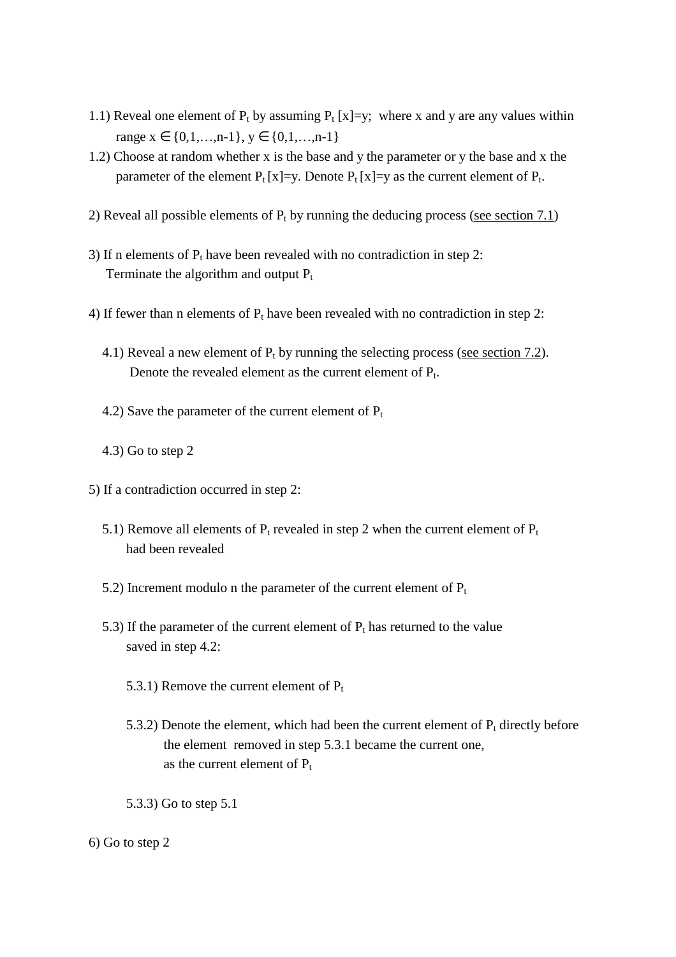- 1.1) Reveal one element of  $P_t$  by assuming  $P_t$  [x]=y; where x and y are any values within range  $x \in \{0,1,...,n-1\}$ ,  $y \in \{0,1,...,n-1\}$
- 1.2) Choose at random whether x is the base and y the parameter or y the base and x the parameter of the element  $P_t[x]=y$ . Denote  $P_t[x]=y$  as the current element of  $P_t$ .
- 2) Reveal all possible elements of  $P_t$  by running the deducing process (see section 7.1)
- 3) If n elements of  $P_t$  have been revealed with no contradiction in step 2: Terminate the algorithm and output  $P_t$
- 4) If fewer than n elements of  $P_t$  have been revealed with no contradiction in step 2:
- 4.1) Reveal a new element of  $P_t$  by running the selecting process (see section 7.2). Denote the revealed element as the current element of  $P_t$ .
	- 4.2) Save the parameter of the current element of  $P_t$
	- 4.3) Go to step 2
- 5) If a contradiction occurred in step 2:
	- 5.1) Remove all elements of  $P_t$  revealed in step 2 when the current element of  $P_t$ had been revealed
	- 5.2) Increment modulo n the parameter of the current element of  $P_t$
- 5.3) If the parameter of the current element of  $P_t$  has returned to the value saved in step 4.2:
	- 5.3.1) Remove the current element of  $P_t$
- 5.3.2) Denote the element, which had been the current element of  $P_t$  directly before the element removed in step 5.3.1 became the current one, as the current element of  $P_t$ 
	- 5.3.3) Go to step 5.1
- 6) Go to step 2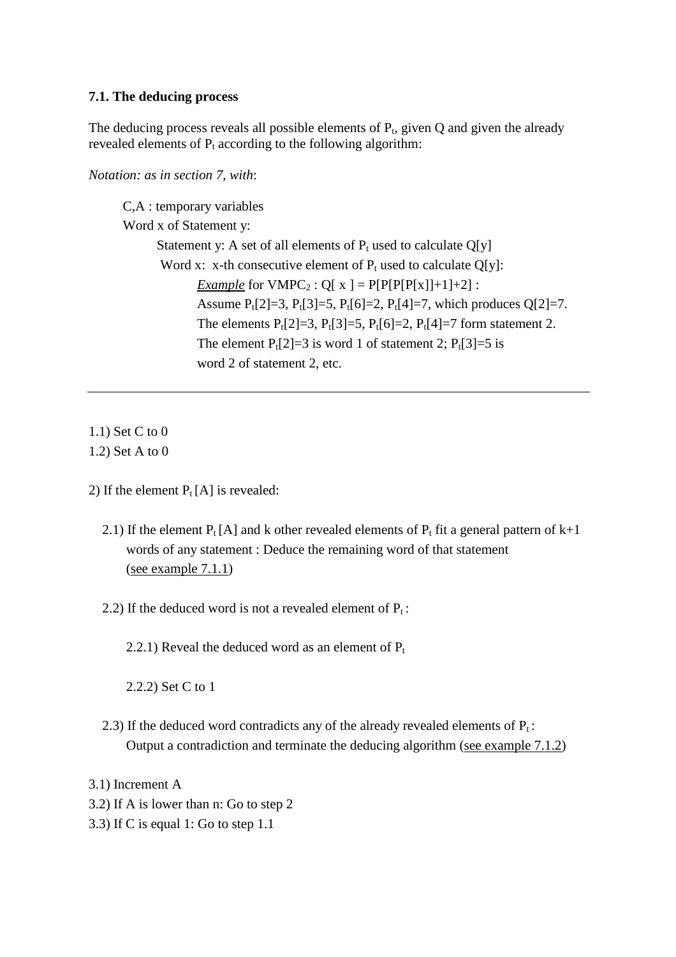### **7.1. The deducing process**

The deducing process reveals all possible elements of  $P_t$ , given  $Q$  and given the already revealed elements of  $P_t$  according to the following algorithm:

*Notation: as in section 7, with*:

 C,A : temporary variables Word x of Statement y: Statement y: A set of all elements of  $P_t$  used to calculate Q[y] Word x: x-th consecutive element of  $P_t$  used to calculate Q[y]: *Example* for  $VMPC_2$ :  $Q[x] = P[P[P[P[x]]+1]+2]$ : Assume  $P_t[2]=3$ ,  $P_t[3]=5$ ,  $P_t[6]=2$ ,  $P_t[4]=7$ , which produces  $Q[2]=7$ . The elements  $P_t[2]=3$ ,  $P_t[3]=5$ ,  $P_t[6]=2$ ,  $P_t[4]=7$  form statement 2. The element  $P_1[2]=3$  is word 1 of statement 2;  $P_1[3]=5$  is word 2 of statement 2, etc.

1.1) Set C to 0 1.2) Set A to 0

- 2) If the element  $P_t[A]$  is revealed:
	- 2.1) If the element  $P_t[A]$  and k other revealed elements of  $P_t$  fit a general pattern of k+1 words of any statement : Deduce the remaining word of that statement (see example 7.1.1)
	- 2.2) If the deduced word is not a revealed element of  $P_t$ :

2.2.1) Reveal the deduced word as an element of  $P_t$ 

2.2.2) Set C to 1

2.3) If the deduced word contradicts any of the already revealed elements of  $P_t$ : Output a contradiction and terminate the deducing algorithm (see example 7.1.2)

3.1) Increment A

- 3.2) If A is lower than n: Go to step 2
- 3.3) If C is equal 1: Go to step 1.1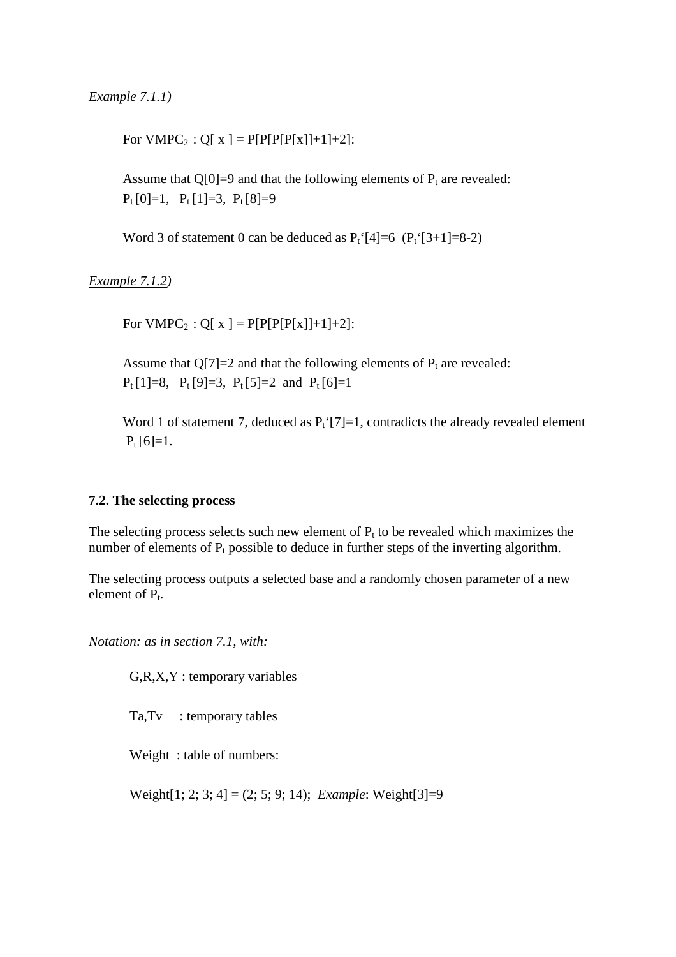For  $VMPC_2$ :  $Q[x] = P[P[P[P[x]]+1]+2]$ :

Assume that  $Q[0]=9$  and that the following elements of  $P_t$  are revealed:  $P_t$ [0]=1,  $P_t$ [1]=3,  $P_t$ [8]=9

Word 3 of statement 0 can be deduced as  $P_t$ '[4]=6 ( $P_t$ '[3+1]=8-2)

*Example 7.1.2)* 

For  $VMPC_2$ :  $Q[x] = P[P[P[P[x]]+1]+2]$ :

Assume that  $Q[7]=2$  and that the following elements of  $P_t$  are revealed:  $P_t[1]=8$ ,  $P_t[9]=3$ ,  $P_t[5]=2$  and  $P_t[6]=1$ 

Word 1 of statement 7, deduced as  $P_t$ <sup>{</sup>[7]=1, contradicts the already revealed element  $P_t$ [6]=1.

#### **7.2. The selecting process**

The selecting process selects such new element of  $P_t$  to be revealed which maximizes the number of elements of  $P_t$  possible to deduce in further steps of the inverting algorithm.

The selecting process outputs a selected base and a randomly chosen parameter of a new element of  $P_t$ .

*Notation: as in section 7.1, with:*

G,R,X,Y : temporary variables

Ta,Tv : temporary tables

Weight : table of numbers:

Weight[1; 2; 3; 4] = (2; 5; 9; 14); *Example*: Weight[3]=9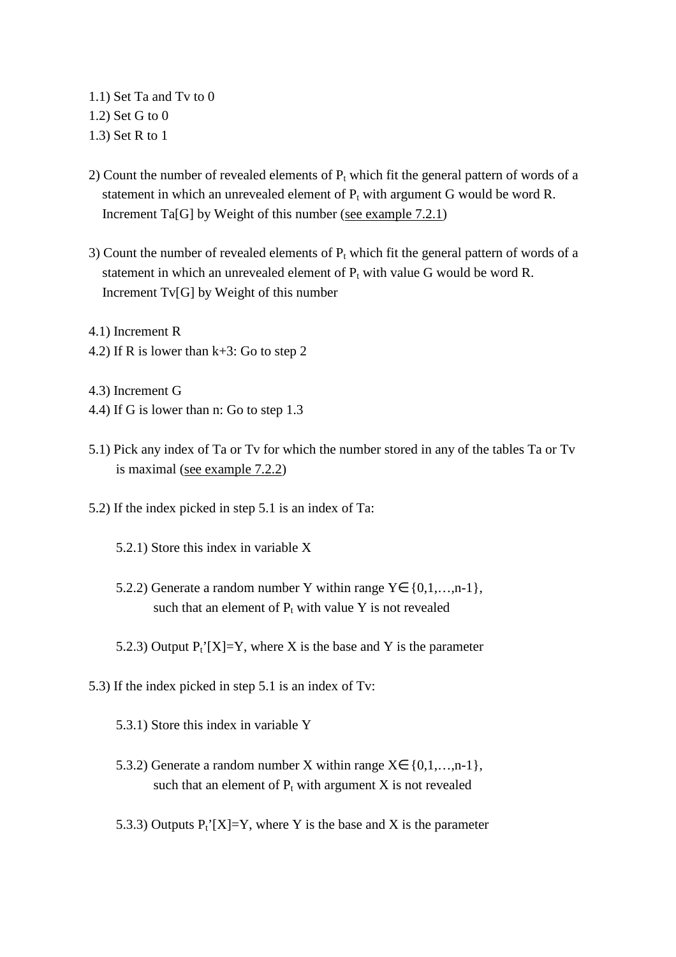1.1) Set Ta and Tv to 0 1.2) Set G to 0 1.3) Set R to 1

- 2) Count the number of revealed elements of  $P_t$  which fit the general pattern of words of a statement in which an unrevealed element of  $P_t$  with argument G would be word R. Increment Ta[G] by Weight of this number (see example 7.2.1)
- 3) Count the number of revealed elements of  $P_t$  which fit the general pattern of words of a statement in which an unrevealed element of  $P_t$  with value G would be word R. Increment Tv[G] by Weight of this number

4.1) Increment R 4.2) If R is lower than k+3: Go to step 2

- 4.3) Increment G 4.4) If G is lower than n: Go to step 1.3
- 5.1) Pick any index of Ta or Tv for which the number stored in any of the tables Ta or Tv is maximal (see example 7.2.2)
- 5.2) If the index picked in step 5.1 is an index of Ta:
	- 5.2.1) Store this index in variable X
	- 5.2.2) Generate a random number Y within range  $Y \in \{0,1,...,n-1\}$ , such that an element of  $P_t$  with value Y is not revealed
	- 5.2.3) Output  $P_t^{\prime}[X]=Y$ , where X is the base and Y is the parameter
- 5.3) If the index picked in step 5.1 is an index of Tv:
	- 5.3.1) Store this index in variable Y
	- 5.3.2) Generate a random number X within range  $X \in \{0,1,...,n-1\}$ , such that an element of  $P_t$  with argument X is not revealed
	- 5.3.3) Outputs  $P_t^{\prime}[X]=Y$ , where Y is the base and X is the parameter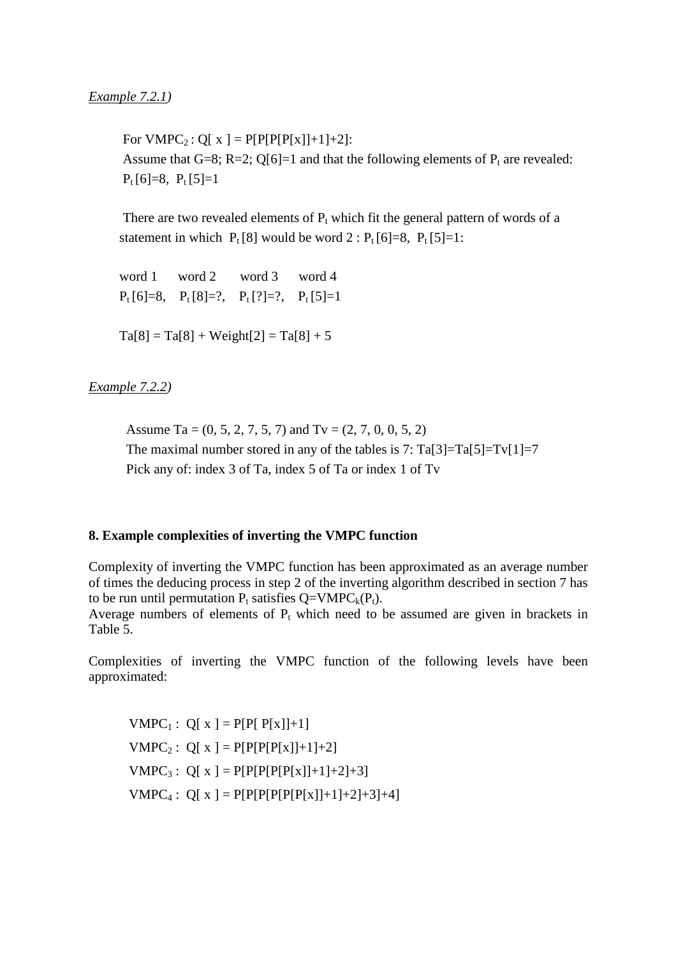For  $VMPC_2$ :  $Q[x] = P[P[P[P[x]]+1]+2]$ : Assume that G=8; R=2; Q[6]=1 and that the following elements of  $P_t$  are revealed:  $P_t [6]=8, P_t [5]=1$ 

There are two revealed elements of  $P_t$  which fit the general pattern of words of a statement in which  $P_t[8]$  would be word  $2: P_t[6]=8$ ,  $P_t[5]=1$ :

 word 1 word 2 word 3 word 4  $P_t [6]=8$ ,  $P_t [8]=?$ ,  $P_t [?)=?$ ,  $P_t [5]=1$ 

 $Ta[8] = Ta[8] + Weight[2] = Ta[8] + 5$ 

## *Example 7.2.2)*

Assume Ta =  $(0, 5, 2, 7, 5, 7)$  and Tv =  $(2, 7, 0, 0, 5, 2)$ The maximal number stored in any of the tables is 7:  $Ta[3] = Ta[5] = Tv[1] = 7$ Pick any of: index 3 of Ta, index 5 of Ta or index 1 of Tv

### **8. Example complexities of inverting the VMPC function**

Complexity of inverting the VMPC function has been approximated as an average number of times the deducing process in step 2 of the inverting algorithm described in section 7 has to be run until permutation  $P_t$  satisfies  $Q=VMPC_k(P_t)$ . Average numbers of elements of  $P_t$  which need to be assumed are given in brackets in Table 5.

Complexities of inverting the VMPC function of the following levels have been approximated:

 $VMPC_1: Q[x] = P[P[P[x]] + 1]$  $VMPC_2$ : Q[ x ] = P[P[P[P[x]]+1]+2]  $VMPC_3$ : Q[ x ] = P[P[P[P[P[X]]+1]+2]+3]  $VMPC_4$  :  $Q[x] = P[P[P[P[P[X]]+1]+2]+3]+4]$